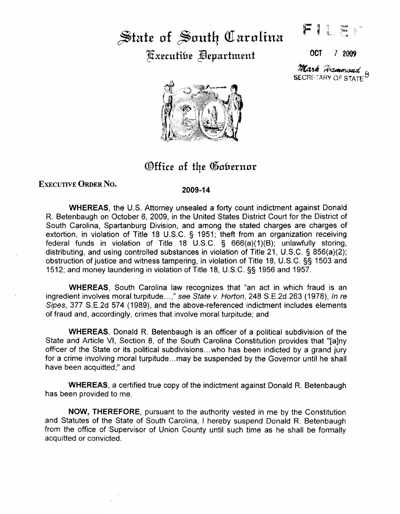## State of South Carolina ~x.ecutifr.e Jfl.epartm.ent OCT *l* <sup>2009</sup>

 $F$   $\vert$  $i$  .  $\frac{1}{2}$  ,  $i$ 

SECRETARY OF STATE<sup>C</sup> Mark Hammond



Office of the Gobernor

## EXECUTIVE ORDER No.

## 2009-14

WHEREAS, the U.S. Attorney unsealed a forty count indictment against Donald R. Betenbaugh on October 6, 2009, in the United States District Court for the District of South Carolina, Spartanburg Division, and among the stated charges are charges of extortion, in violation of Title 18 U.S.C. § 1951; theft from an organization receiving federal funds in violation of Title 18 U.S.C. § 666(a)(1)(8); unlawfully storing, distributing, and using controlled substances in violation of Title 21, U.S.C. § 856(a)(2); obstruction of justice and witness tampering, in violation of Title 18, U.S.C. §§ 1503 and 1512; and money laundering in violation of Title 18, U.S.C. §§ 1956 and 1957.

WHEREAS, South Carolina law recognizes that "an act in which fraud is an ingredient involves moral turpitude...," see State v. Horton, 248 S.E.2d 263 (1978), In re Sipes, 377 S.E.2d 574 (1989), and the above-referenced indictment includes elements of fraud and, accordingly, crimes that involve moral turpitude; and

WHEREAS, Donald R. Betenbaugh is an officer of a political subdivision of the State and Article VI, Section 8, of the South Carolina Constitution provides that "[a]ny officer of the State or its political subdivisions ... who has been indicted by a grand jury for a crime involving moral turpitude...may be suspended by the Governor until he shall have been acquitted;" and

WHEREAS, a certified true copy of the indictment against Donald R. Betenbaugh has been provided to me.

NOW, THEREFORE, pursuant to the authority vested in me by the Constitution and Statutes of the State of South Carolina, I hereby suspend Donald R. Betenbaugh from the office of Supervisor of Union County until such time as he shall be formally acquitted or convicted.